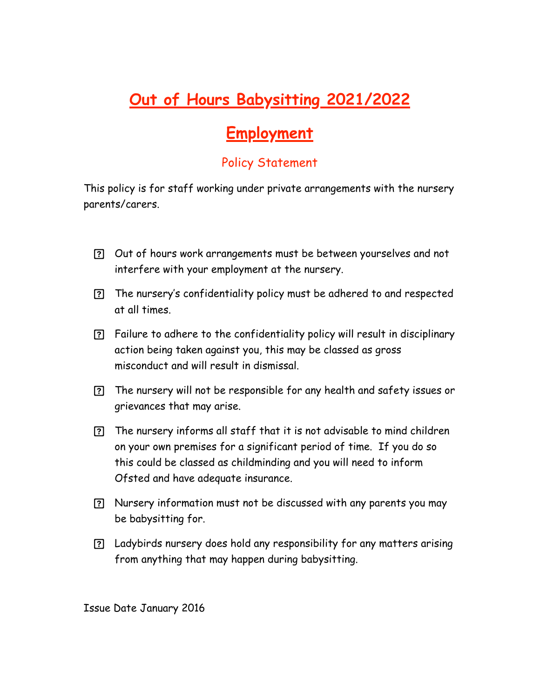## **Out of Hours Babysitting 2021/2022**

## **Employment**

## Policy Statement

This policy is for staff working under private arrangements with the nursery parents/carers.

- Out of hours work arrangements must be between yourselves and not interfere with your employment at the nursery.
- The nursery's confidentiality policy must be adhered to and respected at all times.
- Failure to adhere to the confidentiality policy will result in disciplinary action being taken against you, this may be classed as gross misconduct and will result in dismissal.
- The nursery will not be responsible for any health and safety issues or grievances that may arise.
- The nursery informs all staff that it is not advisable to mind children on your own premises for a significant period of time. If you do so this could be classed as childminding and you will need to inform Ofsted and have adequate insurance.
- Nursery information must not be discussed with any parents you may be babysitting for.
- Ladybirds nursery does hold any responsibility for any matters arising from anything that may happen during babysitting.

Issue Date January 2016